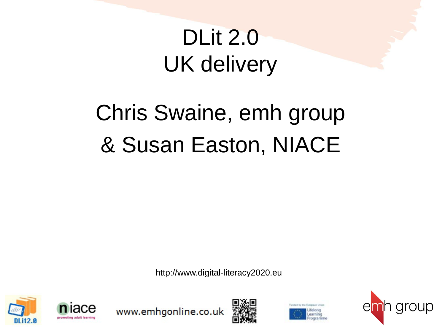# DLit 2.0 UK delivery

# Chris Swaine, emh group & Susan Easton, NIACE

http://www.digital-literacy2020.eu







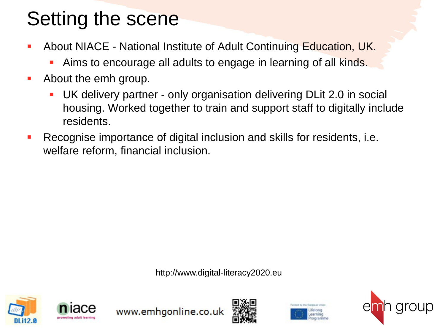### Setting the scene

- About NIACE National Institute of Adult Continuing Education, UK.
	- Aims to encourage all adults to engage in learning of all kinds.
- **About the emh group.** 
	- UK delivery partner only organisation delivering DLit 2.0 in social housing. Worked together to train and support staff to digitally include residents.
- Recognise importance of digital inclusion and skills for residents, i.e. welfare reform, financial inclusion.

http://www.digital-literacy2020.eu







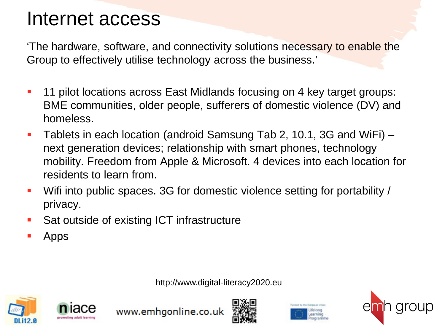### Internet access

'The hardware, software, and connectivity solutions necessary to enable the Group to effectively utilise technology across the business.'

- **11 pilot locations across East Midlands focusing on 4 key target groups:** BME communities, older people, sufferers of domestic violence (DV) and homeless.
- Tablets in each location (android Samsung Tab 2, 10.1, 3G and WiFi) next generation devices; relationship with smart phones, technology mobility. Freedom from Apple & Microsoft. 4 devices into each location for residents to learn from.
- Wifi into public spaces. 3G for domestic violence setting for portability / privacy.
- Sat outside of existing ICT infrastructure
- Apps

http://www.digital-literacy2020.eu







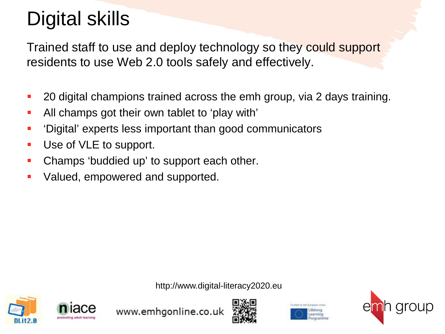## Digital skills

Trained staff to use and deploy technology so they could support residents to use Web 2.0 tools safely and effectively.

- **20 digital champions trained across the emh group, via 2 days training.**
- All champs got their own tablet to 'play with'
- 'Digital' experts less important than good communicators
- Use of VLE to support.
- Champs 'buddied up' to support each other.
- Valued, empowered and supported.

http://www.digital-literacy2020.eu







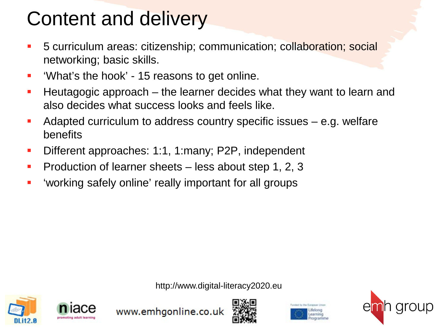### Content and delivery

- 5 curriculum areas: citizenship; communication; collaboration; social networking; basic skills.
- 'What's the hook' 15 reasons to get online.
- **Heutagogic approach** the learner decides what they want to learn and also decides what success looks and feels like.
- Adapted curriculum to address country specific issues e.g. welfare benefits
- Different approaches: 1:1, 1:many; P2P, independent
- Production of learner sheets less about step 1, 2, 3
- 'working safely online' really important for all groups

http://www.digital-literacy2020.eu







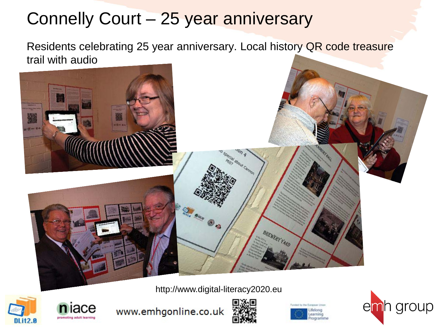### Connelly Court – 25 year anniversary

Residents celebrating 25 year anniversary. Local history QR code treasure trail with audio



http://www.digital-literacy2020.eu









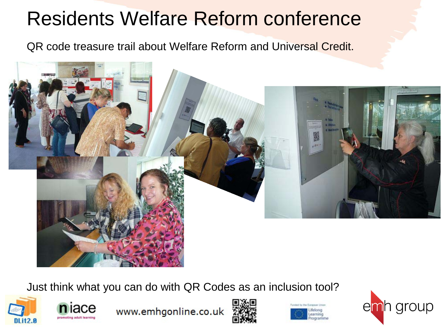### Residents Welfare Reform conference

QR code treasure trail about Welfare Reform and Universal Credit.



Just think what you can do with QR Codes as an inclusion tool?







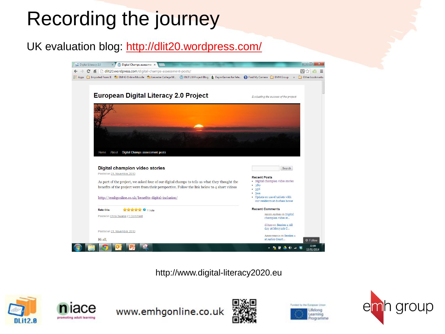## Recording the journey

#### UK evaluation blog: <http://dlit20.wordpress.com/>



http://www.digital-literacy2020.eu







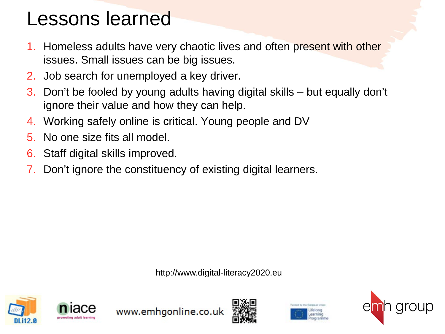### Lessons learned

- Homeless adults have very chaotic lives and often present with other issues. Small issues can be big issues.
- 2. Job search for unemployed a key driver.
- 3. Don't be fooled by young adults having digital skills but equally don't ignore their value and how they can help.
- 4. Working safely online is critical. Young people and DV
- 5. No one size fits all model.
- 6. Staff digital skills improved.
- Don't ignore the constituency of existing digital learners.

http://www.digital-literacy2020.eu